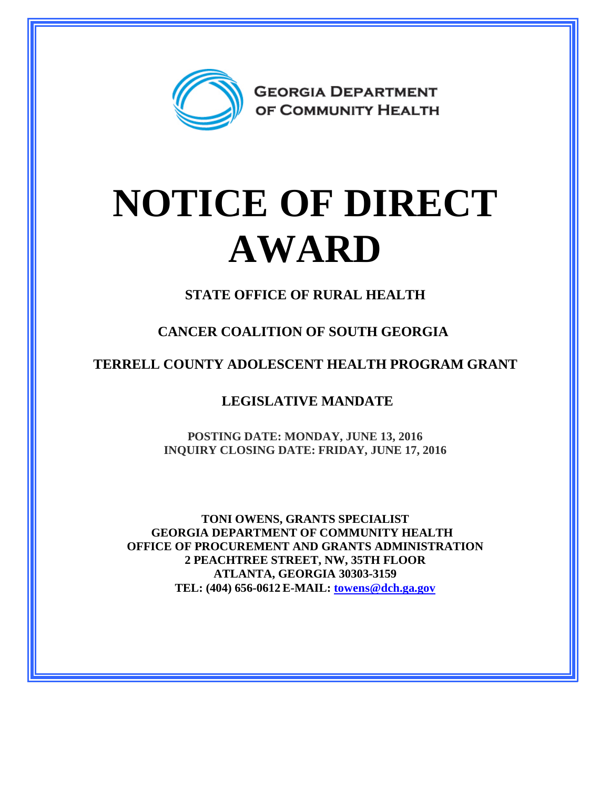

## **NOTICE OF DIRECT AWARD**

**STATE OFFICE OF RURAL HEALTH**

**CANCER COALITION OF SOUTH GEORGIA**

**TERRELL COUNTY ADOLESCENT HEALTH PROGRAM GRANT**

**LEGISLATIVE MANDATE**

**POSTING DATE: MONDAY, JUNE 13, 2016 INQUIRY CLOSING DATE: FRIDAY, JUNE 17, 2016**

**TONI OWENS, GRANTS SPECIALIST GEORGIA DEPARTMENT OF COMMUNITY HEALTH OFFICE OF PROCUREMENT AND GRANTS ADMINISTRATION 2 PEACHTREE STREET, NW, 35TH FLOOR ATLANTA, GEORGIA 30303-3159 TEL: (404) 656-0612 E-MAIL: [towens@dch.ga.gov](mailto:towens@dch.ga.gov)**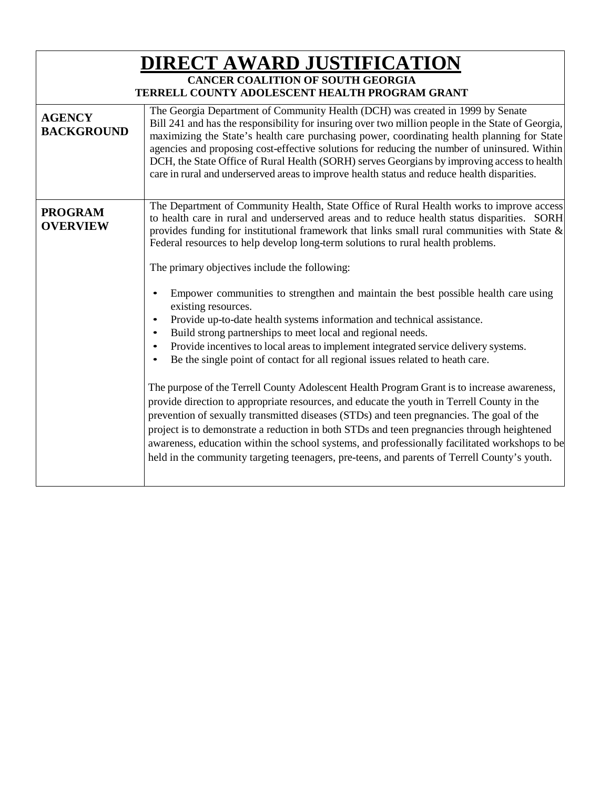| <b>DIRECT AWARD JUSTIFICATION</b><br><b>CANCER COALITION OF SOUTH GEORGIA</b><br>TERRELL COUNTY ADOLESCENT HEALTH PROGRAM GRANT |                                                                                                                                                                                                                                                                                                                                                                                                                                                                                                                                                                                                                                                                                                                                                                                                                                                                                                                                                                                                                                                                                                                                                                                                                                                                                                                                                                                                                                                     |  |
|---------------------------------------------------------------------------------------------------------------------------------|-----------------------------------------------------------------------------------------------------------------------------------------------------------------------------------------------------------------------------------------------------------------------------------------------------------------------------------------------------------------------------------------------------------------------------------------------------------------------------------------------------------------------------------------------------------------------------------------------------------------------------------------------------------------------------------------------------------------------------------------------------------------------------------------------------------------------------------------------------------------------------------------------------------------------------------------------------------------------------------------------------------------------------------------------------------------------------------------------------------------------------------------------------------------------------------------------------------------------------------------------------------------------------------------------------------------------------------------------------------------------------------------------------------------------------------------------------|--|
| <b>AGENCY</b><br><b>BACKGROUND</b>                                                                                              | The Georgia Department of Community Health (DCH) was created in 1999 by Senate<br>Bill 241 and has the responsibility for insuring over two million people in the State of Georgia,<br>maximizing the State's health care purchasing power, coordinating health planning for State<br>agencies and proposing cost-effective solutions for reducing the number of uninsured. Within<br>DCH, the State Office of Rural Health (SORH) serves Georgians by improving access to health<br>care in rural and underserved areas to improve health status and reduce health disparities.                                                                                                                                                                                                                                                                                                                                                                                                                                                                                                                                                                                                                                                                                                                                                                                                                                                                    |  |
| <b>PROGRAM</b><br><b>OVERVIEW</b>                                                                                               | The Department of Community Health, State Office of Rural Health works to improve access<br>to health care in rural and underserved areas and to reduce health status disparities. SORH<br>provides funding for institutional framework that links small rural communities with State &<br>Federal resources to help develop long-term solutions to rural health problems.<br>The primary objectives include the following:<br>Empower communities to strengthen and maintain the best possible health care using<br>existing resources.<br>Provide up-to-date health systems information and technical assistance.<br>Build strong partnerships to meet local and regional needs.<br>Provide incentives to local areas to implement integrated service delivery systems.<br>Be the single point of contact for all regional issues related to heath care.<br>The purpose of the Terrell County Adolescent Health Program Grant is to increase awareness,<br>provide direction to appropriate resources, and educate the youth in Terrell County in the<br>prevention of sexually transmitted diseases (STDs) and teen pregnancies. The goal of the<br>project is to demonstrate a reduction in both STDs and teen pregnancies through heightened<br>awareness, education within the school systems, and professionally facilitated workshops to be<br>held in the community targeting teenagers, pre-teens, and parents of Terrell County's youth. |  |